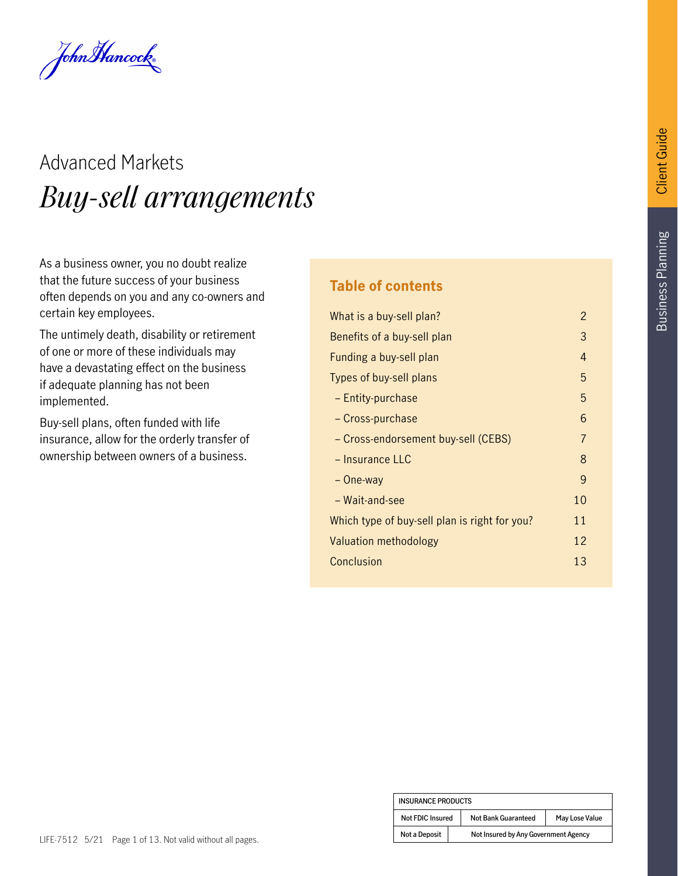John Hancock

# Advanced Markets *Buy-sell arrangements*

As a business owner, you no doubt realize that the future success of your business often depends on you and any co-owners and certain key employees.

The untimely death, disability or retirement of one or more of these individuals may have a devastating effect on the business if adequate planning has not been implemented.

Buy-sell plans, often funded with life insurance, allow for the orderly transfer of ownership between owners of a business.

#### **Table of contents**

| What is a buy-sell plan?                      | $\mathcal{P}$ |
|-----------------------------------------------|---------------|
| Benefits of a buy-sell plan                   | 3             |
| Funding a buy-sell plan                       | 4             |
| Types of buy-sell plans                       | 5             |
| - Entity-purchase                             | 5             |
| - Cross-purchase                              | 6             |
| - Cross-endorsement buy-sell (CEBS)           | 7             |
| - Insurance LLC                               | 8             |
| – One-way                                     | 9             |
| - Wait-and-see                                | 10            |
| Which type of buy-sell plan is right for you? | 11            |
| Valuation methodology                         | 12            |
| Conclusion                                    | 13            |
|                                               |               |

| <b>INSURANCE PRODUCTS</b> |                                      |                            |                |
|---------------------------|--------------------------------------|----------------------------|----------------|
| Not FDIC Insured          |                                      | <b>Not Bank Guaranteed</b> | May Lose Value |
| <b>Not a Deposit</b>      | Not Insured by Any Government Agency |                            |                |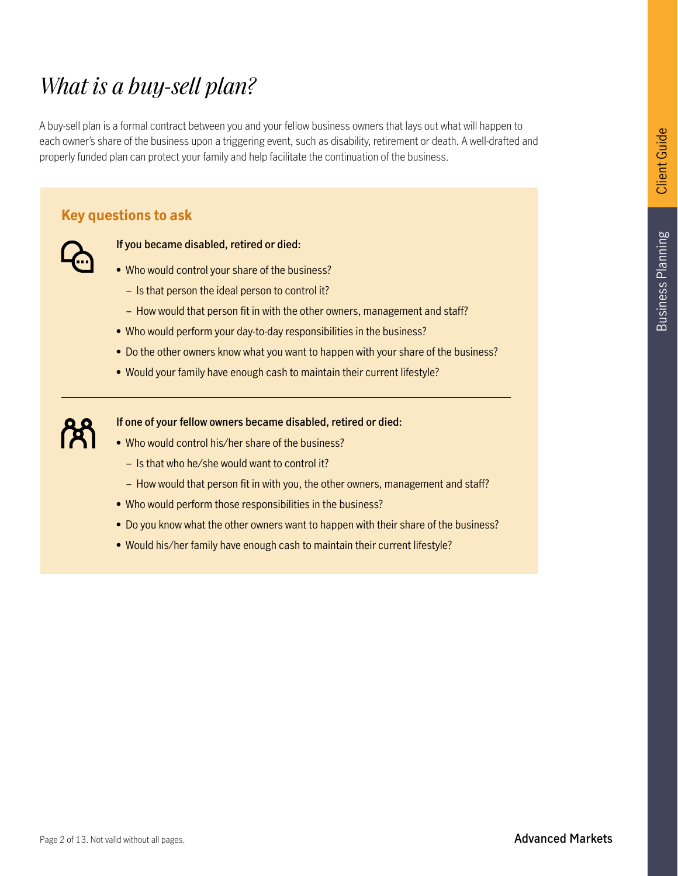### *What is a buy-sell plan?*

A buy-sell plan is a formal contract between you and your fellow business owners that lays out what will happen to each owner's share of the business upon a triggering event, such as disability, retirement or death. A well-drafted and properly funded plan can protect your family and help facilitate the continuation of the business.

#### **Key questions to ask**



#### **If you became disabled, retired or died:**

- Who would control your share of the business?
	- Is that person the ideal person to control it?
	- How would that person fit in with the other owners, management and staff?
- Who would perform your day-to-day responsibilities in the business?
- Do the other owners know what you want to happen with your share of the business?
- Would your family have enough cash to maintain their current lifestyle?



#### **If one of your fellow owners became disabled, retired or died:**

- Who would control his/her share of the business?
	- Is that who he/she would want to control it?
	- How would that person fit in with you, the other owners, management and staff?
- Who would perform those responsibilities in the business?
- Do you know what the other owners want to happen with their share of the business?
- Would his/her family have enough cash to maintain their current lifestyle?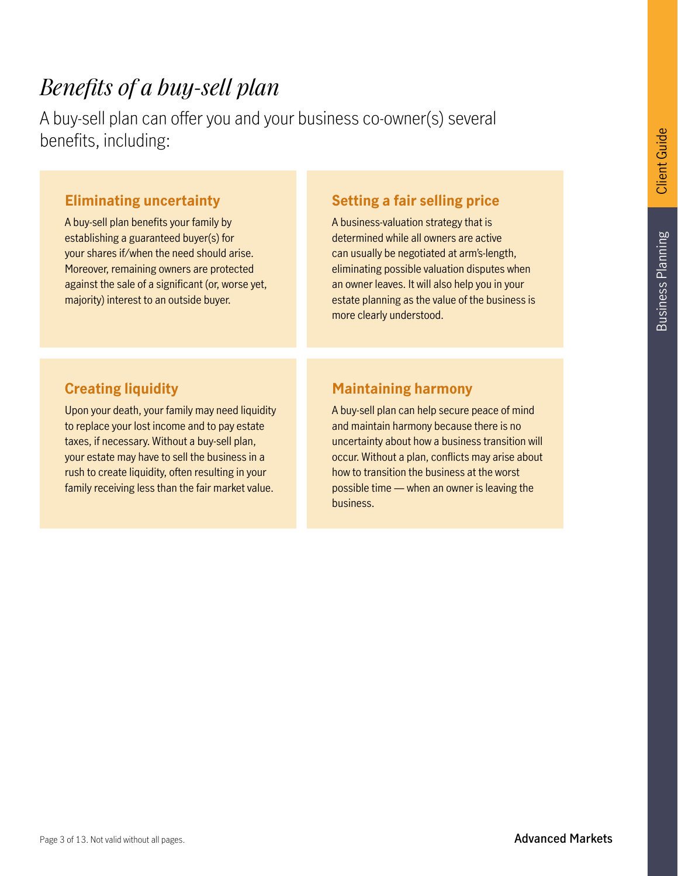### *Benefits of a buy-sell plan*

A buy-sell plan can offer you and your business co-owner(s) several benefits, including:

#### **Eliminating uncertainty**

A buy-sell plan benefits your family by establishing a guaranteed buyer(s) for your shares if/when the need should arise. Moreover, remaining owners are protected against the sale of a significant (or, worse yet, majority) interest to an outside buyer.

#### **Setting a fair selling price**

A business-valuation strategy that is determined while all owners are active can usually be negotiated at arm's-length, eliminating possible valuation disputes when an owner leaves. It will also help you in your estate planning as the value of the business is more clearly understood.

#### **Creating liquidity**

Upon your death, your family may need liquidity to replace your lost income and to pay estate taxes, if necessary. Without a buy-sell plan, your estate may have to sell the business in a rush to create liquidity, often resulting in your family receiving less than the fair market value.

#### **Maintaining harmony**

A buy-sell plan can help secure peace of mind and maintain harmony because there is no uncertainty about how a business transition will occur. Without a plan, conflicts may arise about how to transition the business at the worst possible time — when an owner is leaving the business.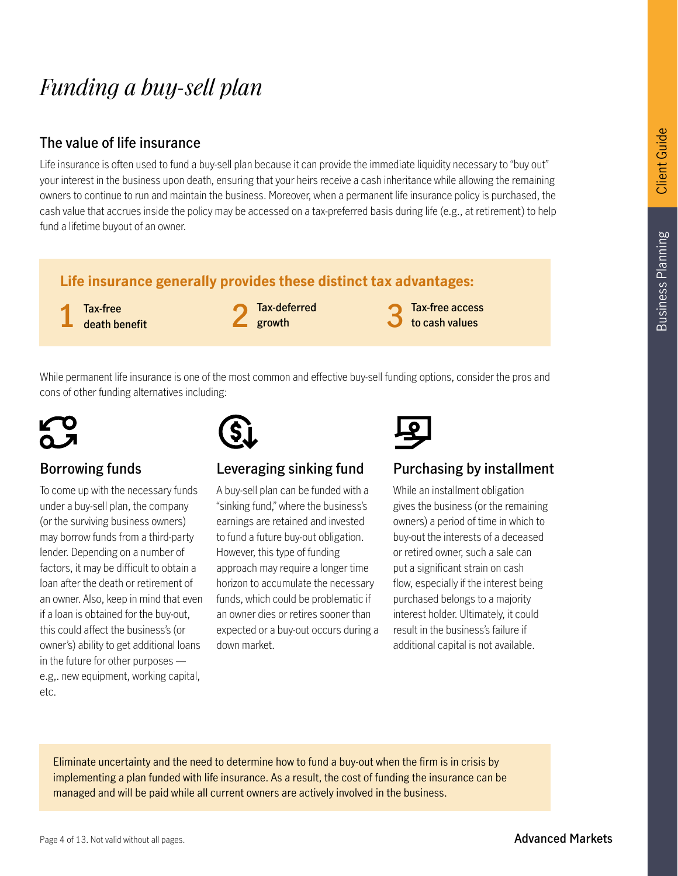### *Funding a buy-sell plan*

#### **The value of life insurance**

Life insurance is often used to fund a buy-sell plan because it can provide the immediate liquidity necessary to "buy out" your interest in the business upon death, ensuring that your heirs receive a cash inheritance while allowing the remaining owners to continue to run and maintain the business. Moreover, when a permanent life insurance policy is purchased, the cash value that accrues inside the policy may be accessed on a tax-preferred basis during life (e.g., at retirement) to help fund a lifetime buyout of an owner.

#### **Life insurance generally provides these distinct tax advantages:**

**Tax-free death benefit** 1 Tax-free death benefit **1** Tax-deferred and  $\overline{3}$ 

**Tax-deferred growth**

**Tax-free access to cash values**

While permanent life insurance is one of the most common and effective buy-sell funding options, consider the pros and cons of other funding alternatives including:



#### **Borrowing funds**

To come up with the necessary funds under a buy-sell plan, the company (or the surviving business owners) may borrow funds from a third-party lender. Depending on a number of factors, it may be difficult to obtain a loan after the death or retirement of an owner. Also, keep in mind that even if a loan is obtained for the buy-out, this could affect the business's (or owner's) ability to get additional loans in the future for other purposes e.g,. new equipment, working capital, etc.

#### **Leveraging sinking fund**

A buy-sell plan can be funded with a "sinking fund," where the business's earnings are retained and invested to fund a future buy-out obligation. However, this type of funding approach may require a longer time horizon to accumulate the necessary funds, which could be problematic if an owner dies or retires sooner than expected or a buy-out occurs during a down market.



#### **Purchasing by installment**

While an installment obligation gives the business (or the remaining owners) a period of time in which to buy-out the interests of a deceased or retired owner, such a sale can put a significant strain on cash flow, especially if the interest being purchased belongs to a majority interest holder. Ultimately, it could result in the business's failure if additional capital is not available.

Eliminate uncertainty and the need to determine how to fund a buy-out when the firm is in crisis by implementing a plan funded with life insurance. As a result, the cost of funding the insurance can be managed and will be paid while all current owners are actively involved in the business.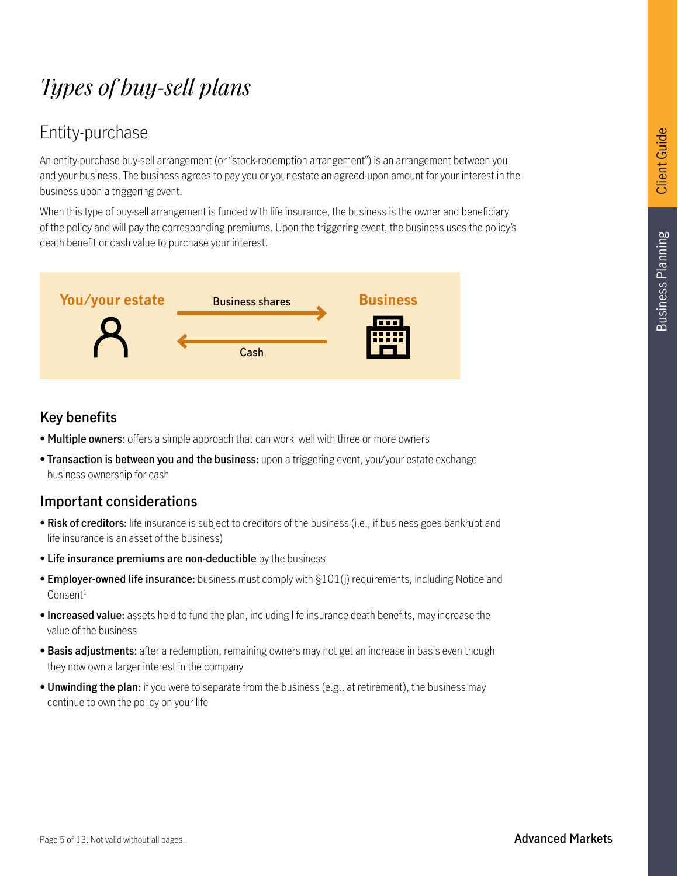## *Types of buy-sell plans*

### Entity-purchase

An entity-purchase buy-sell arrangement (or "stock-redemption arrangement") is an arrangement between you and your business. The business agrees to pay you or your estate an agreed-upon amount for your interest in the business upon a triggering event.

When this type of buy-sell arrangement is funded with life insurance, the business is the owner and beneficiary of the policy and will pay the corresponding premiums. Upon the triggering event, the business uses the policy's death benefit or cash value to purchase your interest.



#### **Key benefits**

- **Multiple owners**: offers a simple approach that can work well with three or more owners
- **Transaction is between you and the business:** upon a triggering event, you/your estate exchange business ownership for cash

- **Risk of creditors:** life insurance is subject to creditors of the business (i.e., if business goes bankrupt and life insurance is an asset of the business)
- **Life insurance premiums are non-deductible** by the business
- **Employer-owned life insurance:** business must comply with §101(j) requirements, including Notice and Consent<sup>1</sup>
- **Increased value:** assets held to fund the plan, including life insurance death benefits, may increase the value of the business
- **Basis adjustments**: after a redemption, remaining owners may not get an increase in basis even though they now own a larger interest in the company
- **Unwinding the plan:** if you were to separate from the business (e.g., at retirement), the business may continue to own the policy on your life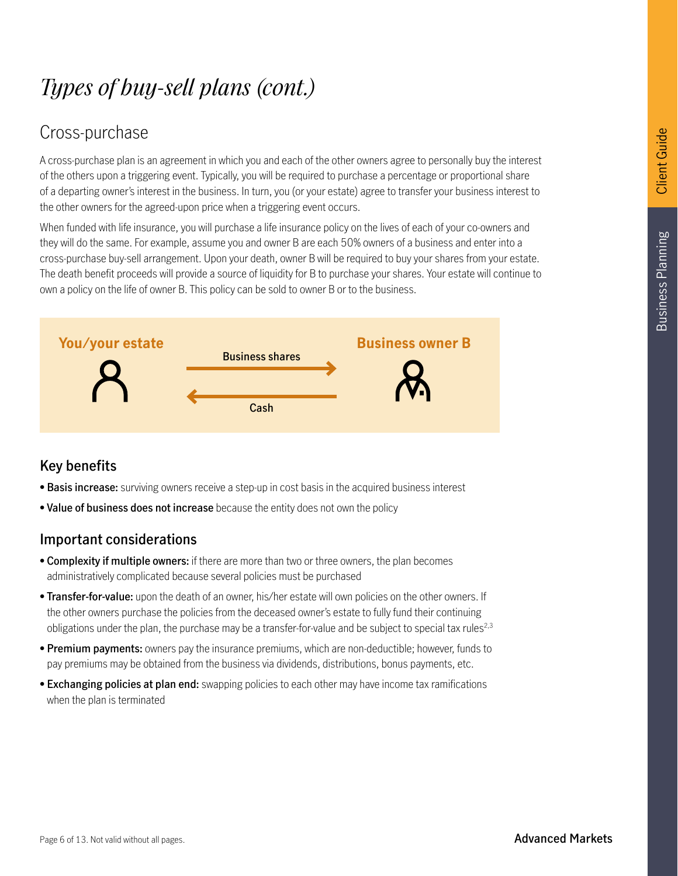### Cross-purchase

A cross-purchase plan is an agreement in which you and each of the other owners agree to personally buy the interest of the others upon a triggering event. Typically, you will be required to purchase a percentage or proportional share of a departing owner's interest in the business. In turn, you (or your estate) agree to transfer your business interest to the other owners for the agreed-upon price when a triggering event occurs.

When funded with life insurance, you will purchase a life insurance policy on the lives of each of your co-owners and they will do the same. For example, assume you and owner B are each 50% owners of a business and enter into a cross-purchase buy-sell arrangement. Upon your death, owner B will be required to buy your shares from your estate. The death benefit proceeds will provide a source of liquidity for B to purchase your shares. Your estate will continue to own a policy on the life of owner B. This policy can be sold to owner B or to the business.



#### **Key benefits**

- **Basis increase:** surviving owners receive a step-up in cost basis in the acquired business interest
- **Value of business does not increase** because the entity does not own the policy

- **Complexity if multiple owners:** if there are more than two or three owners, the plan becomes administratively complicated because several policies must be purchased
- **Transfer-for-value:** upon the death of an owner, his/her estate will own policies on the other owners. If the other owners purchase the policies from the deceased owner's estate to fully fund their continuing obligations under the plan, the purchase may be a transfer-for-value and be subject to special tax rules<sup>2,3</sup>
- **Premium payments:** owners pay the insurance premiums, which are non-deductible; however, funds to pay premiums may be obtained from the business via dividends, distributions, bonus payments, etc.
- **Exchanging policies at plan end:** swapping policies to each other may have income tax ramifications when the plan is terminated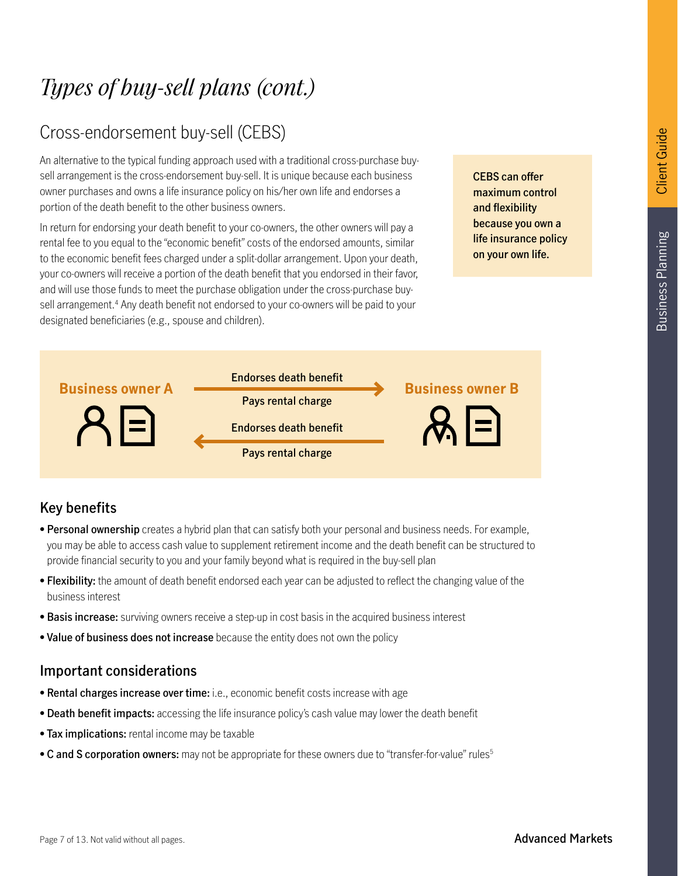#### Cross-endorsement buy-sell (CEBS)

An alternative to the typical funding approach used with a traditional cross-purchase buysell arrangement is the cross-endorsement buy-sell. It is unique because each business owner purchases and owns a life insurance policy on his/her own life and endorses a portion of the death benefit to the other business owners.

In return for endorsing your death benefit to your co-owners, the other owners will pay a rental fee to you equal to the "economic benefit" costs of the endorsed amounts, similar to the economic benefit fees charged under a split-dollar arrangement. Upon your death, your co-owners will receive a portion of the death benefit that you endorsed in their favor, and will use those funds to meet the purchase obligation under the cross-purchase buysell arrangement.<sup>4</sup> Any death benefit not endorsed to your co-owners will be paid to your designated beneficiaries (e.g., spouse and children).

**CEBS can offer maximum control and flexibility because you own a life insurance policy on your own life.**



#### **Key benefits**

- **Personal ownership** creates a hybrid plan that can satisfy both your personal and business needs. For example, you may be able to access cash value to supplement retirement income and the death benefit can be structured to provide financial security to you and your family beyond what is required in the buy-sell plan
- **Flexibility:** the amount of death benefit endorsed each year can be adjusted to reflect the changing value of the business interest
- **Basis increase:** surviving owners receive a step-up in cost basis in the acquired business interest
- **Value of business does not increase** because the entity does not own the policy

- **Rental charges increase over time:** i.e., economic benefit costs increase with age
- **Death benefit impacts:** accessing the life insurance policy's cash value may lower the death benefit
- **Tax implications:** rental income may be taxable
- C and S corporation owners: may not be appropriate for these owners due to "transfer-for-value" rules<sup>5</sup>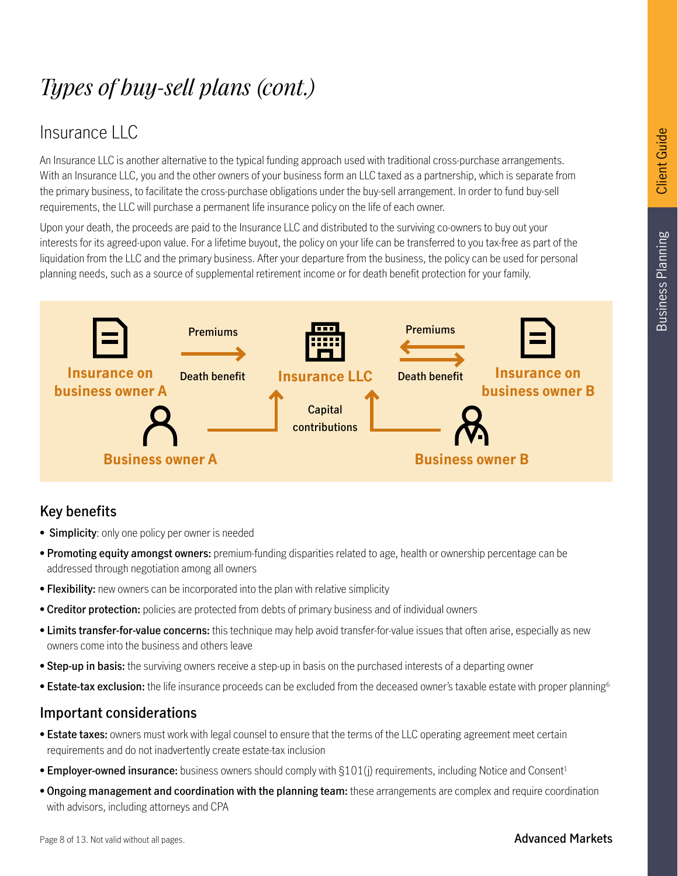# **Business Planning** Business Planning

### *Types of buy-sell plans (cont.)*

#### Insurance LLC

An Insurance LLC is another alternative to the typical funding approach used with traditional cross-purchase arrangements. With an Insurance LLC, you and the other owners of your business form an LLC taxed as a partnership, which is separate from the primary business, to facilitate the cross-purchase obligations under the buy-sell arrangement. In order to fund buy-sell requirements, the LLC will purchase a permanent life insurance policy on the life of each owner.

Upon your death, the proceeds are paid to the Insurance LLC and distributed to the surviving co-owners to buy out your interests for its agreed-upon value. For a lifetime buyout, the policy on your life can be transferred to you tax-free as part of the liquidation from the LLC and the primary business. After your departure from the business, the policy can be used for personal planning needs, such as a source of supplemental retirement income or for death benefit protection for your family.



#### **Key benefits**

- **Simplicity**: only one policy per owner is needed
- **Promoting equity amongst owners:** premium-funding disparities related to age, health or ownership percentage can be addressed through negotiation among all owners
- **Flexibility:** new owners can be incorporated into the plan with relative simplicity
- **Creditor protection:** policies are protected from debts of primary business and of individual owners
- **Limits transfer-for-value concerns:** this technique may help avoid transfer-for-value issues that often arise, especially as new owners come into the business and others leave
- **Step-up in basis:** the surviving owners receive a step-up in basis on the purchased interests of a departing owner
- **Estate-tax exclusion:** the life insurance proceeds can be excluded from the deceased owner's taxable estate with proper planning6

- **Estate taxes:** owners must work with legal counsel to ensure that the terms of the LLC operating agreement meet certain requirements and do not inadvertently create estate-tax inclusion
- **Employer-owned insurance:** business owners should comply with §101(j) requirements, including Notice and Consent<sup>1</sup>
- **Ongoing management and coordination with the planning team:** these arrangements are complex and require coordination with advisors, including attorneys and CPA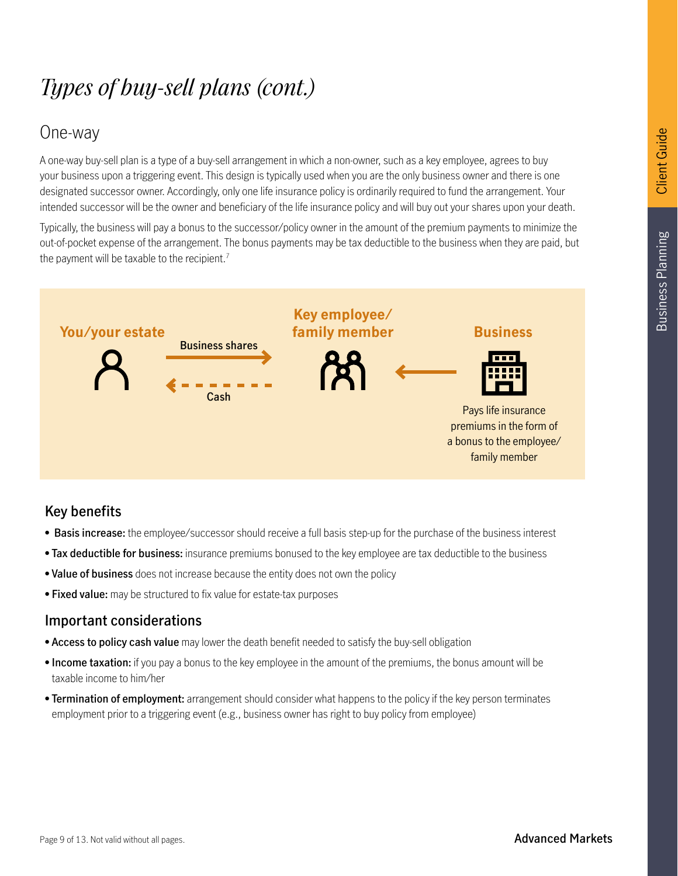#### One-way

A one-way buy-sell plan is a type of a buy-sell arrangement in which a non-owner, such as a key employee, agrees to buy your business upon a triggering event. This design is typically used when you are the only business owner and there is one designated successor owner. Accordingly, only one life insurance policy is ordinarily required to fund the arrangement. Your intended successor will be the owner and beneficiary of the life insurance policy and will buy out your shares upon your death.

Typically, the business will pay a bonus to the successor/policy owner in the amount of the premium payments to minimize the out-of-pocket expense of the arrangement. The bonus payments may be tax deductible to the business when they are paid, but the payment will be taxable to the recipient.<sup>7</sup>



#### **Key benefits**

- **Basis increase:** the employee/successor should receive a full basis step-up for the purchase of the business interest
- **Tax deductible for business:** insurance premiums bonused to the key employee are tax deductible to the business
- **Value of business** does not increase because the entity does not own the policy
- **Fixed value:** may be structured to fix value for estate-tax purposes

- **Access to policy cash value** may lower the death benefit needed to satisfy the buy-sell obligation
- **Income taxation:** if you pay a bonus to the key employee in the amount of the premiums, the bonus amount will be taxable income to him/her
- **Termination of employment:** arrangement should consider what happens to the policy if the key person terminates employment prior to a triggering event (e.g., business owner has right to buy policy from employee)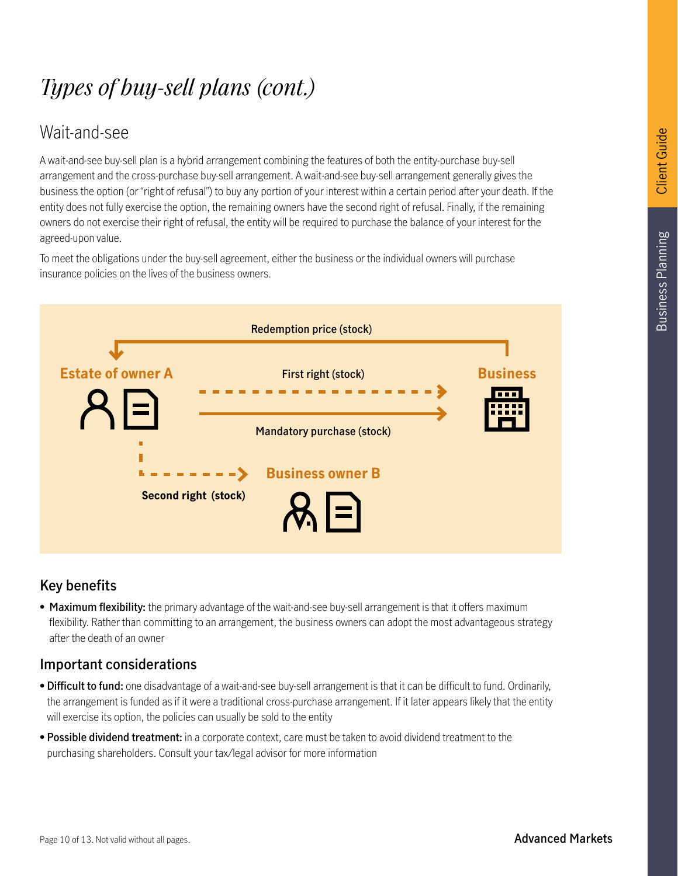#### Wait-and-see

A wait-and-see buy-sell plan is a hybrid arrangement combining the features of both the entity-purchase buy-sell arrangement and the cross-purchase buy-sell arrangement. A wait-and-see buy-sell arrangement generally gives the business the option (or "right of refusal") to buy any portion of your interest within a certain period after your death. If the entity does not fully exercise the option, the remaining owners have the second right of refusal. Finally, if the remaining owners do not exercise their right of refusal, the entity will be required to purchase the balance of your interest for the agreed-upon value.

To meet the obligations under the buy-sell agreement, either the business or the individual owners will purchase insurance policies on the lives of the business owners.



#### **Key benefits**

• **Maximum flexibility:** the primary advantage of the wait-and-see buy-sell arrangement is that it offers maximum flexibility. Rather than committing to an arrangement, the business owners can adopt the most advantageous strategy after the death of an owner

- **Difficult to fund:** one disadvantage of a wait-and-see buy-sell arrangement is that it can be difficult to fund. Ordinarily, the arrangement is funded as if it were a traditional cross-purchase arrangement. If it later appears likely that the entity will exercise its option, the policies can usually be sold to the entity
- **Possible dividend treatment:** in a corporate context, care must be taken to avoid dividend treatment to the purchasing shareholders. Consult your tax/legal advisor for more information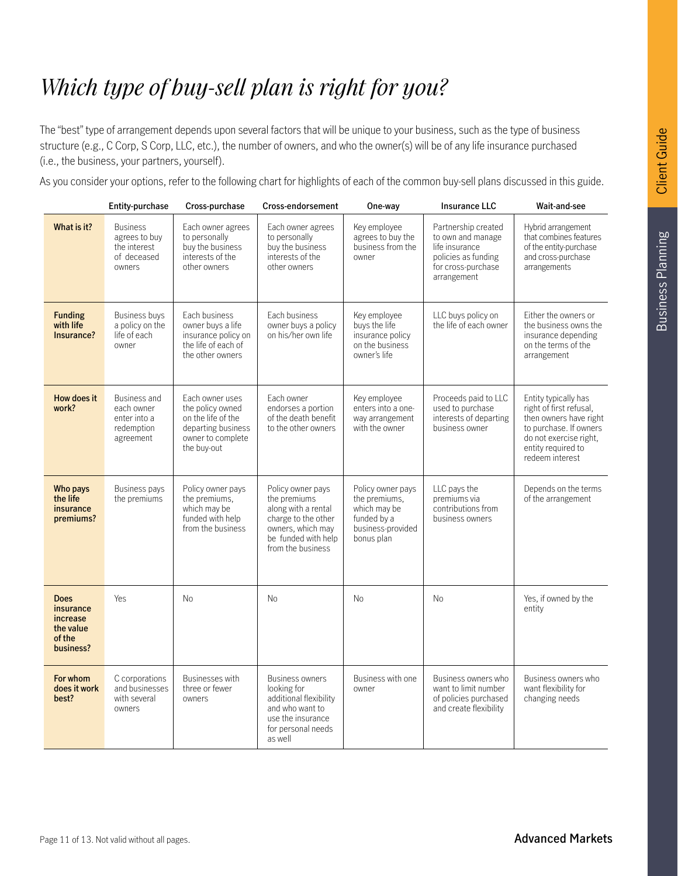### *Which type of buy-sell plan is right for you?*

The "best" type of arrangement depends upon several factors that will be unique to your business, such as the type of business structure (e.g., C Corp, S Corp, LLC, etc.), the number of owners, and who the owner(s) will be of any life insurance purchased (i.e., the business, your partners, yourself).

As you consider your options, refer to the following chart for highlights of each of the common buy-sell plans discussed in this guide.

|                                                                          | Entity-purchase                                                              | Cross-purchase                                                                                                      | Cross-endorsement                                                                                                                                | One-way                                                                                              | <b>Insurance LLC</b>                                                                                                   | Wait-and-see                                                                                                                                                           |
|--------------------------------------------------------------------------|------------------------------------------------------------------------------|---------------------------------------------------------------------------------------------------------------------|--------------------------------------------------------------------------------------------------------------------------------------------------|------------------------------------------------------------------------------------------------------|------------------------------------------------------------------------------------------------------------------------|------------------------------------------------------------------------------------------------------------------------------------------------------------------------|
| What is it?                                                              | <b>Business</b><br>agrees to buy<br>the interest<br>of deceased<br>owners    | Each owner agrees<br>to personally<br>buy the business<br>interests of the<br>other owners                          | Each owner agrees<br>to personally<br>buy the business<br>interests of the<br>other owners                                                       | Key employee<br>agrees to buy the<br>business from the<br>owner                                      | Partnership created<br>to own and manage<br>life insurance<br>policies as funding<br>for cross-purchase<br>arrangement | Hybrid arrangement<br>that combines features<br>of the entity-purchase<br>and cross-purchase<br>arrangements                                                           |
| <b>Funding</b><br>with life<br>Insurance?                                | <b>Business buys</b><br>a policy on the<br>life of each<br>owner             | Each business<br>owner buys a life<br>insurance policy on<br>the life of each of<br>the other owners                | Each business<br>owner buys a policy<br>on his/her own life                                                                                      | Key employee<br>buys the life<br>insurance policy<br>on the business<br>owner's life                 | LLC buys policy on<br>the life of each owner                                                                           | Either the owners or<br>the business owns the<br>insurance depending<br>on the terms of the<br>arrangement                                                             |
| How does it<br>work?                                                     | <b>Business and</b><br>each owner<br>enter into a<br>redemption<br>agreement | Each owner uses<br>the policy owned<br>on the life of the<br>departing business<br>owner to complete<br>the buy-out | Each owner<br>endorses a portion<br>of the death benefit<br>to the other owners                                                                  | Key employee<br>enters into a one-<br>way arrangement<br>with the owner                              | Proceeds paid to LLC<br>used to purchase<br>interests of departing<br>business owner                                   | Entity typically has<br>right of first refusal,<br>then owners have right<br>to purchase. If owners<br>do not exercise right.<br>entity required to<br>redeem interest |
| Who pays<br>the life<br>insurance<br>premiums?                           | <b>Business pays</b><br>the premiums                                         | Policy owner pays<br>the premiums,<br>which may be<br>funded with help<br>from the business                         | Policy owner pays<br>the premiums<br>along with a rental<br>charge to the other<br>owners, which may<br>be funded with help<br>from the business | Policy owner pays<br>the premiums.<br>which may be<br>funded by a<br>business-provided<br>bonus plan | LLC pays the<br>premiums via<br>contributions from<br>business owners                                                  | Depends on the terms<br>of the arrangement                                                                                                                             |
| <b>Does</b><br>insurance<br>increase<br>the value<br>of the<br>business? | Yes                                                                          | <b>No</b>                                                                                                           | <b>No</b>                                                                                                                                        | <b>No</b>                                                                                            | <b>No</b>                                                                                                              | Yes, if owned by the<br>entity                                                                                                                                         |
| For whom<br>does it work<br>best?                                        | C corporations<br>and businesses<br>with several<br>owners                   | <b>Businesses with</b><br>three or fewer<br>owners                                                                  | Business owners<br>looking for<br>additional flexibility<br>and who want to<br>use the insurance<br>for personal needs<br>as well                | Business with one<br>owner                                                                           | Business owners who<br>want to limit number<br>of policies purchased<br>and create flexibility                         | Business owners who<br>want flexibility for<br>changing needs                                                                                                          |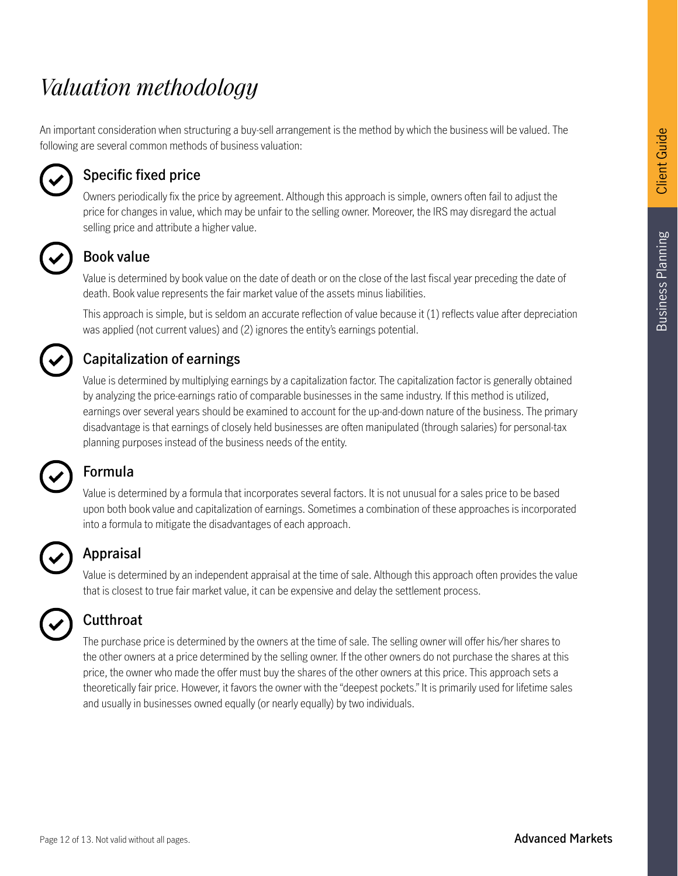### *Valuation methodology*

An important consideration when structuring a buy-sell arrangement is the method by which the business will be valued. The following are several common methods of business valuation:



#### **Specific fixed price**

Owners periodically fix the price by agreement. Although this approach is simple, owners often fail to adjust the price for changes in value, which may be unfair to the selling owner. Moreover, the IRS may disregard the actual selling price and attribute a higher value.



#### **Book value**

Value is determined by book value on the date of death or on the close of the last fiscal year preceding the date of death. Book value represents the fair market value of the assets minus liabilities.

This approach is simple, but is seldom an accurate reflection of value because it (1) reflects value after depreciation was applied (not current values) and (2) ignores the entity's earnings potential.



#### **Capitalization of earnings**

Value is determined by multiplying earnings by a capitalization factor. The capitalization factor is generally obtained by analyzing the price-earnings ratio of comparable businesses in the same industry. If this method is utilized, earnings over several years should be examined to account for the up-and-down nature of the business. The primary disadvantage is that earnings of closely held businesses are often manipulated (through salaries) for personal-tax planning purposes instead of the business needs of the entity.

#### **Formula**

Value is determined by a formula that incorporates several factors. It is not unusual for a sales price to be based upon both book value and capitalization of earnings. Sometimes a combination of these approaches is incorporated into a formula to mitigate the disadvantages of each approach.



#### **Appraisal**

Value is determined by an independent appraisal at the time of sale. Although this approach often provides the value that is closest to true fair market value, it can be expensive and delay the settlement process.

| w |  |
|---|--|
|   |  |

#### **Cutthroat**

The purchase price is determined by the owners at the time of sale. The selling owner will offer his/her shares to the other owners at a price determined by the selling owner. If the other owners do not purchase the shares at this price, the owner who made the offer must buy the shares of the other owners at this price. This approach sets a theoretically fair price. However, it favors the owner with the "deepest pockets." It is primarily used for lifetime sales and usually in businesses owned equally (or nearly equally) by two individuals.